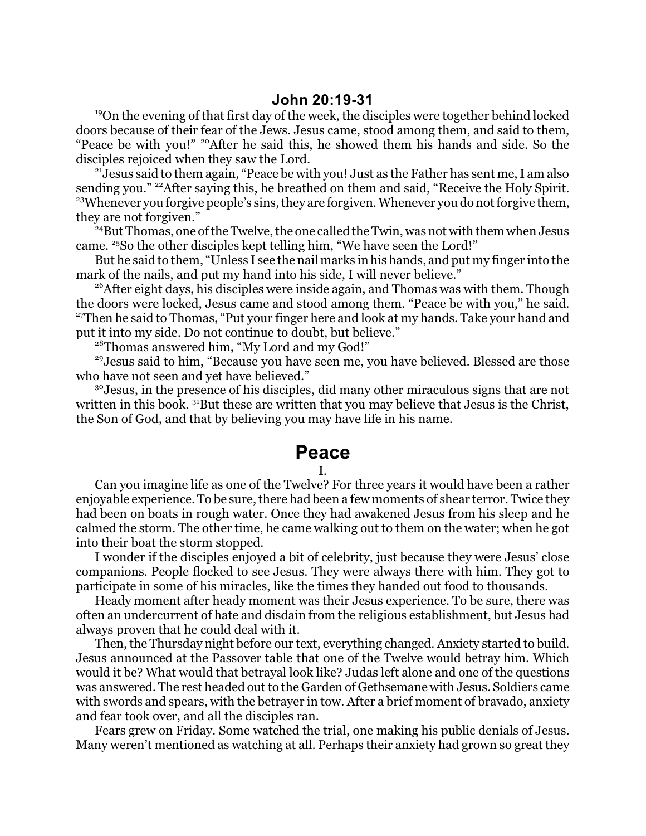<sup>19</sup>On the evening of that first day of the week, the disciples were together behind locked doors because of their fear of the Jews. Jesus came, stood among them, and said to them, "Peace be with you!" <sup>20</sup>After he said this, he showed them his hands and side. So the disciples rejoiced when they saw the Lord.

<sup>21</sup>Jesus said to them again, "Peace be with you! Just as the Father has sent me, I am also sending you." <sup>22</sup>After saying this, he breathed on them and said, "Receive the Holy Spirit. <sup>23</sup>Whenever you forgive people's sins, they are forgiven. Whenever you do not forgive them, they are not forgiven."

<sup>24</sup>But Thomas, one of the Twelve, the one called the Twin, was not with them when Jesus came. <sup>25</sup> So the other disciples kept telling him, "We have seen the Lord!"

But he said to them, "Unless I see the nail marks in his hands, and put my finger into the mark of the nails, and put my hand into his side, I will never believe."

<sup>26</sup> After eight days, his disciples were inside again, and Thomas was with them. Though the doors were locked, Jesus came and stood among them. "Peace be with you," he said. <sup>27</sup>Then he said to Thomas, "Put your finger here and look at my hands. Take your hand and put it into my side. Do not continue to doubt, but believe."

<sup>28</sup>Thomas answered him, "My Lord and my God!"

<sup>29</sup>Jesus said to him, "Because you have seen me, you have believed. Blessed are those who have not seen and yet have believed."

<sup>30</sup> Jesus, in the presence of his disciples, did many other miraculous signs that are not written in this book.  $31B$ ut these are written that you may believe that Jesus is the Christ, the Son of God, and that by believing you may have life in his name.

## **Peace**

## I.

Can you imagine life as one of the Twelve? For three years it would have been a rather enjoyable experience. To be sure, there had been a few moments of shear terror. Twice they had been on boats in rough water. Once they had awakened Jesus from his sleep and he calmed the storm. The other time, he came walking out to them on the water; when he got into their boat the storm stopped.

I wonder if the disciples enjoyed a bit of celebrity, just because they were Jesus' close companions. People flocked to see Jesus. They were always there with him. They got to participate in some of his miracles, like the times they handed out food to thousands.

Heady moment after heady moment was their Jesus experience. To be sure, there was often an undercurrent of hate and disdain from the religious establishment, but Jesus had always proven that he could deal with it.

Then, the Thursday night before our text, everything changed. Anxiety started to build. Jesus announced at the Passover table that one of the Twelve would betray him. Which would it be? What would that betrayal look like? Judas left alone and one of the questions was answered. The rest headed out to the Garden of Gethsemane with Jesus. Soldiers came with swords and spears, with the betrayer in tow. After a brief moment of bravado, anxiety and fear took over, and all the disciples ran.

Fears grew on Friday. Some watched the trial, one making his public denials of Jesus. Many weren't mentioned as watching at all. Perhaps their anxiety had grown so great they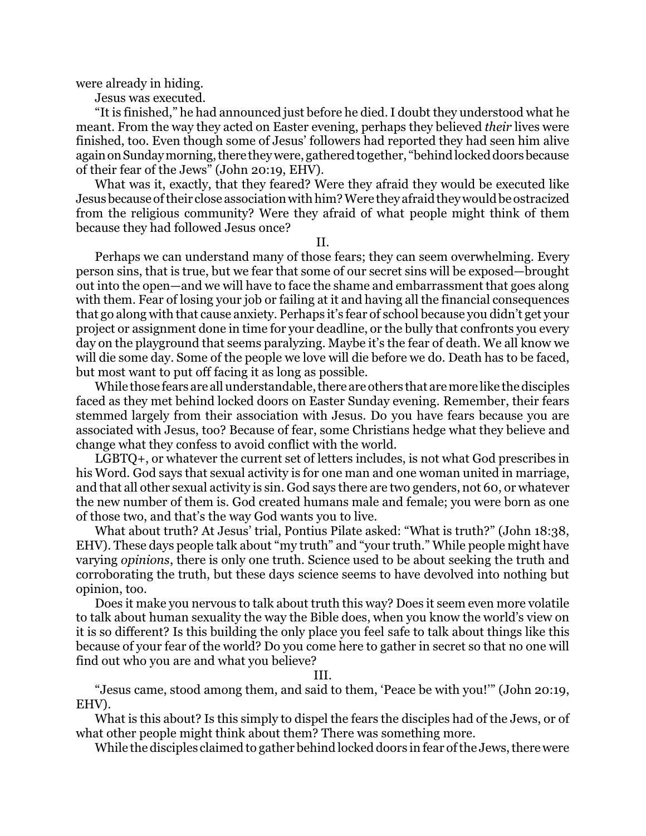were already in hiding.

Jesus was executed.

"It is finished," he had announced just before he died. I doubt they understood what he meant. From the way they acted on Easter evening, perhaps they believed *their* lives were finished, too. Even though some of Jesus' followers had reported they had seen him alive again on Sunday morning, there they were, gathered together, "behind locked doors because of their fear of the Jews" (John 20:19, EHV).

What was it, exactly, that they feared? Were they afraid they would be executed like Jesusbecause oftheir close association with him? Were they afraid they would be ostracized from the religious community? Were they afraid of what people might think of them because they had followed Jesus once?

II.

Perhaps we can understand many of those fears; they can seem overwhelming. Every person sins, that is true, but we fear that some of our secret sins will be exposed—brought out into the open—and we will have to face the shame and embarrassment that goes along with them. Fear of losing your job or failing at it and having all the financial consequences that go along with that cause anxiety. Perhaps it's fear of school because you didn't get your project or assignment done in time for your deadline, or the bully that confronts you every day on the playground that seems paralyzing. Maybe it's the fear of death. We all know we will die some day. Some of the people we love will die before we do. Death has to be faced, but most want to put off facing it as long as possible.

While those fears are all understandable, there are others that are more like the disciples faced as they met behind locked doors on Easter Sunday evening. Remember, their fears stemmed largely from their association with Jesus. Do you have fears because you are associated with Jesus, too? Because of fear, some Christians hedge what they believe and change what they confess to avoid conflict with the world.

LGBTQ+, or whatever the current set of letters includes, is not what God prescribes in his Word. God says that sexual activity is for one man and one woman united in marriage, and that all other sexual activity is sin. God says there are two genders, not 60, or whatever the new number of them is. God created humans male and female; you were born as one of those two, and that's the way God wants you to live.

What about truth? At Jesus' trial, Pontius Pilate asked: "What is truth?" (John 18:38, EHV). These days people talk about "my truth" and "your truth." While people might have varying *opinions*, there is only one truth. Science used to be about seeking the truth and corroborating the truth, but these days science seems to have devolved into nothing but opinion, too.

Does it make you nervous to talk about truth this way? Does it seem even more volatile to talk about human sexuality the way the Bible does, when you know the world's view on it is so different? Is this building the only place you feel safe to talk about things like this because of your fear of the world? Do you come here to gather in secret so that no one will find out who you are and what you believe?

III.

"Jesus came, stood among them, and said to them, 'Peace be with you!'" (John 20:19, EHV).

What is this about? Is this simply to dispel the fears the disciples had of the Jews, or of what other people might think about them? There was something more.

While the disciples claimed to gather behind locked doors in fear ofthe Jews, there were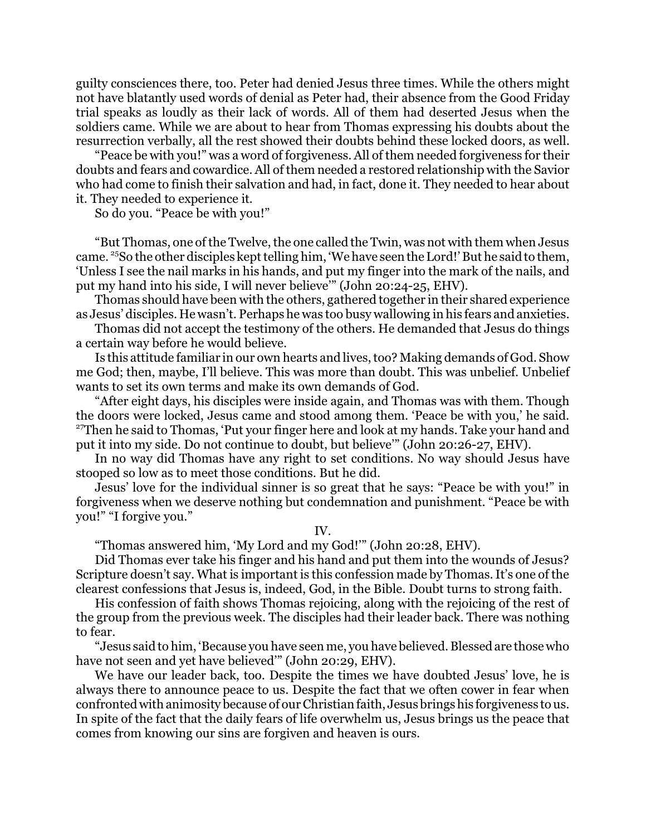guilty consciences there, too. Peter had denied Jesus three times. While the others might not have blatantly used words of denial as Peter had, their absence from the Good Friday trial speaks as loudly as their lack of words. All of them had deserted Jesus when the soldiers came. While we are about to hear from Thomas expressing his doubts about the resurrection verbally, all the rest showed their doubts behind these locked doors, as well.

"Peace be with you!" was a word of forgiveness. All of them needed forgiveness for their doubts and fears and cowardice. All of them needed a restored relationship with the Savior who had come to finish their salvation and had, in fact, done it. They needed to hear about it. They needed to experience it.

So do you. "Peace be with you!"

"But Thomas, one of the Twelve, the one called the Twin, was not with them when Jesus came. <sup>25</sup>So the other disciples kept telling him, 'We have seen the Lord!' But he said to them, 'Unless I see the nail marks in his hands, and put my finger into the mark of the nails, and put my hand into his side, I will never believe'" (John 20:24-25, EHV).

Thomas should have been with the others, gathered together in their shared experience as Jesus' disciples. He wasn't. Perhaps he was too busy wallowing in his fears and anxieties.

Thomas did not accept the testimony of the others. He demanded that Jesus do things a certain way before he would believe.

Is this attitude familiar in our own hearts and lives, too? Making demands of God. Show me God; then, maybe, I'll believe. This was more than doubt. This was unbelief. Unbelief wants to set its own terms and make its own demands of God.

"After eight days, his disciples were inside again, and Thomas was with them. Though the doors were locked, Jesus came and stood among them. 'Peace be with you,' he said. <sup>27</sup>Then he said to Thomas, 'Put your finger here and look at my hands. Take your hand and put it into my side. Do not continue to doubt, but believe'" (John 20:26-27, EHV).

In no way did Thomas have any right to set conditions. No way should Jesus have stooped so low as to meet those conditions. But he did.

Jesus' love for the individual sinner is so great that he says: "Peace be with you!" in forgiveness when we deserve nothing but condemnation and punishment. "Peace be with you!" "I forgive you."

IV.

"Thomas answered him, 'My Lord and my God!'" (John 20:28, EHV).

Did Thomas ever take his finger and his hand and put them into the wounds of Jesus? Scripture doesn't say. What is important is this confession made by Thomas. It's one of the clearest confessions that Jesus is, indeed, God, in the Bible. Doubt turns to strong faith.

His confession of faith shows Thomas rejoicing, along with the rejoicing of the rest of the group from the previous week. The disciples had their leader back. There was nothing to fear.

"Jesus said to him, 'Because you have seen me, you have believed. Blessed are those who have not seen and yet have believed" (John 20:29, EHV).

We have our leader back, too. Despite the times we have doubted Jesus' love, he is always there to announce peace to us. Despite the fact that we often cower in fear when confronted with animosity because of our Christian faith, Jesus brings his forgiveness to us. In spite of the fact that the daily fears of life overwhelm us, Jesus brings us the peace that comes from knowing our sins are forgiven and heaven is ours.